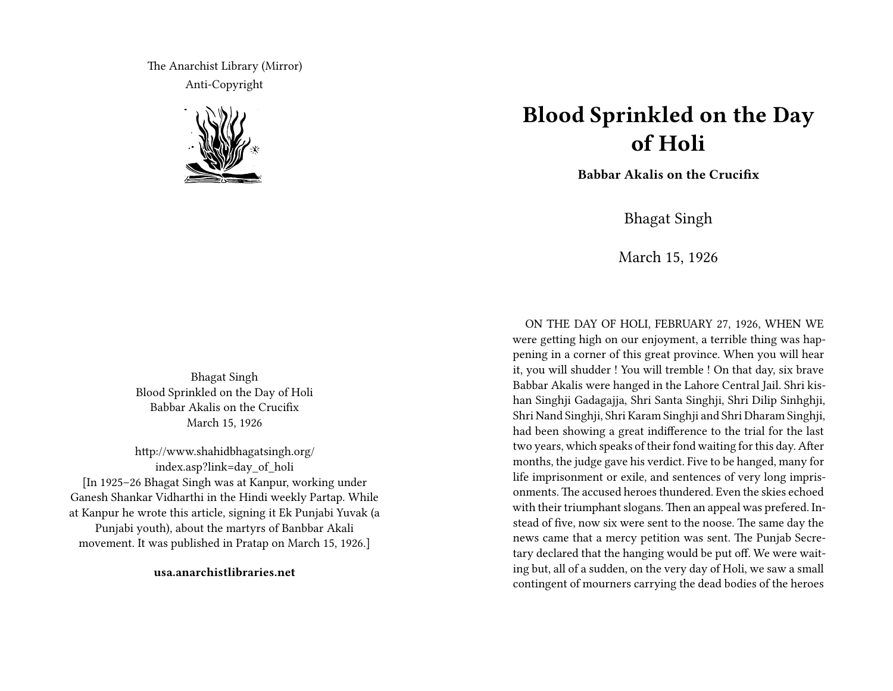The Anarchist Library (Mirror) Anti-Copyright



Bhagat Singh Blood Sprinkled on the Day of Holi Babbar Akalis on the Crucifix March 15, 1926

http://www.shahidbhagatsingh.org/ index.asp?link=day\_of\_holi [In 1925–26 Bhagat Singh was at Kanpur, working under Ganesh Shankar Vidharthi in the Hindi weekly Partap. While at Kanpur he wrote this article, signing it Ek Punjabi Yuvak (a Punjabi youth), about the martyrs of Banbbar Akali movement. It was published in Pratap on March 15, 1926.]

**usa.anarchistlibraries.net**

## **Blood Sprinkled on the Day of Holi**

**Babbar Akalis on the Crucifix**

Bhagat Singh

March 15, 1926

ON THE DAY OF HOLI, FEBRUARY 27, 1926, WHEN WE were getting high on our enjoyment, a terrible thing was happening in a corner of this great province. When you will hear it, you will shudder ! You will tremble ! On that day, six brave Babbar Akalis were hanged in the Lahore Central Jail. Shri kishan Singhji Gadagajja, Shri Santa Singhji, Shri Dilip Sinhghji, Shri Nand Singhji, Shri Karam Singhji and Shri Dharam Singhji, had been showing a great indifference to the trial for the last two years, which speaks of their fond waiting for this day. After months, the judge gave his verdict. Five to be hanged, many for life imprisonment or exile, and sentences of very long imprisonments. The accused heroes thundered. Even the skies echoed with their triumphant slogans. Then an appeal was prefered. Instead of five, now six were sent to the noose. The same day the news came that a mercy petition was sent. The Punjab Secretary declared that the hanging would be put off. We were waiting but, all of a sudden, on the very day of Holi, we saw a small contingent of mourners carrying the dead bodies of the heroes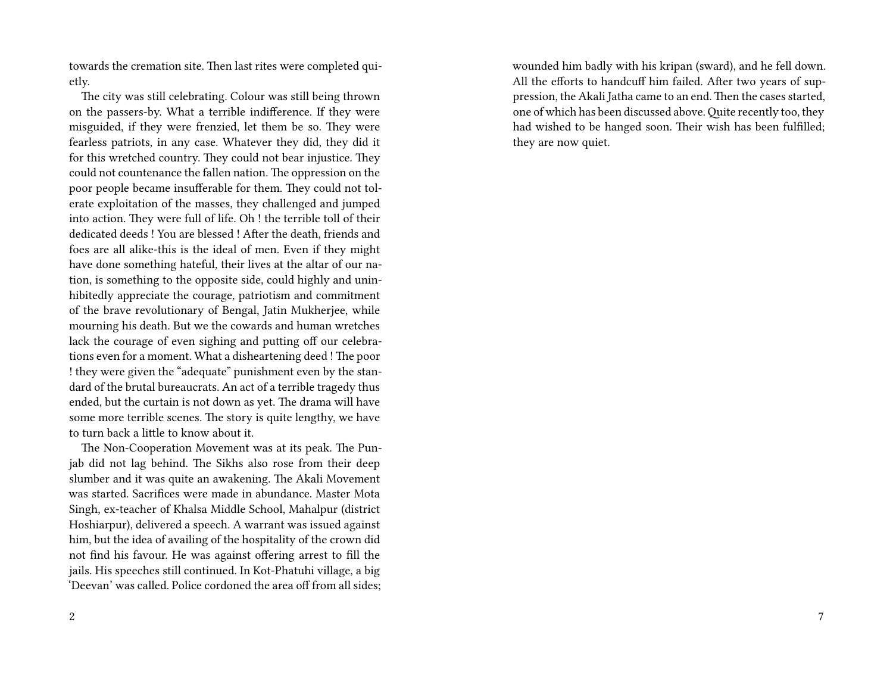towards the cremation site. Then last rites were completed quietly.

The city was still celebrating. Colour was still being thrown on the passers-by. What a terrible indifference. If they were misguided, if they were frenzied, let them be so. They were fearless patriots, in any case. Whatever they did, they did it for this wretched country. They could not bear injustice. They could not countenance the fallen nation. The oppression on the poor people became insufferable for them. They could not tolerate exploitation of the masses, they challenged and jumped into action. They were full of life. Oh ! the terrible toll of their dedicated deeds ! You are blessed ! After the death, friends and foes are all alike-this is the ideal of men. Even if they might have done something hateful, their lives at the altar of our nation, is something to the opposite side, could highly and uninhibitedly appreciate the courage, patriotism and commitment of the brave revolutionary of Bengal, Jatin Mukherjee, while mourning his death. But we the cowards and human wretches lack the courage of even sighing and putting off our celebrations even for a moment. What a disheartening deed ! The poor ! they were given the "adequate" punishment even by the standard of the brutal bureaucrats. An act of a terrible tragedy thus ended, but the curtain is not down as yet. The drama will have some more terrible scenes. The story is quite lengthy, we have to turn back a little to know about it.

The Non-Cooperation Movement was at its peak. The Punjab did not lag behind. The Sikhs also rose from their deep slumber and it was quite an awakening. The Akali Movement was started. Sacrifices were made in abundance. Master Mota Singh, ex-teacher of Khalsa Middle School, Mahalpur (district Hoshiarpur), delivered a speech. A warrant was issued against him, but the idea of availing of the hospitality of the crown did not find his favour. He was against offering arrest to fill the jails. His speeches still continued. In Kot-Phatuhi village, a big 'Deevan' was called. Police cordoned the area off from all sides;

wounded him badly with his kripan (sward), and he fell down. All the efforts to handcuff him failed. After two years of suppression, the Akali Jatha came to an end. Then the cases started, one of which has been discussed above.Quite recently too, they had wished to be hanged soon. Their wish has been fulfilled; they are now quiet.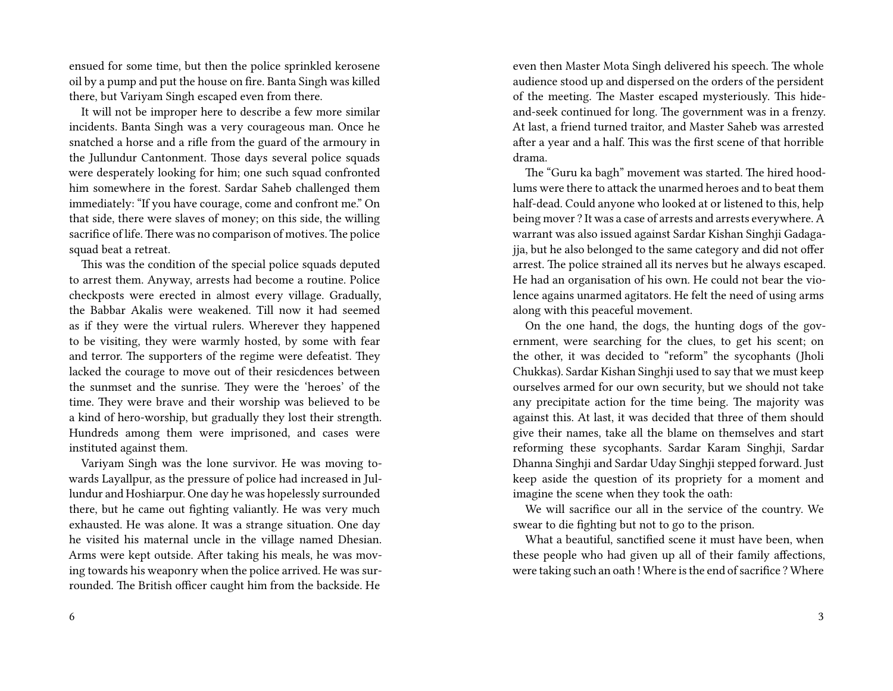ensued for some time, but then the police sprinkled kerosene oil by a pump and put the house on fire. Banta Singh was killed there, but Variyam Singh escaped even from there.

It will not be improper here to describe a few more similar incidents. Banta Singh was a very courageous man. Once he snatched a horse and a rifle from the guard of the armoury in the Jullundur Cantonment. Those days several police squads were desperately looking for him; one such squad confronted him somewhere in the forest. Sardar Saheb challenged them immediately: "If you have courage, come and confront me." On that side, there were slaves of money; on this side, the willing sacrifice of life. There was no comparison of motives. The police squad beat a retreat.

This was the condition of the special police squads deputed to arrest them. Anyway, arrests had become a routine. Police checkposts were erected in almost every village. Gradually, the Babbar Akalis were weakened. Till now it had seemed as if they were the virtual rulers. Wherever they happened to be visiting, they were warmly hosted, by some with fear and terror. The supporters of the regime were defeatist. They lacked the courage to move out of their resicdences between the sunmset and the sunrise. They were the 'heroes' of the time. They were brave and their worship was believed to be a kind of hero-worship, but gradually they lost their strength. Hundreds among them were imprisoned, and cases were instituted against them.

Variyam Singh was the lone survivor. He was moving towards Layallpur, as the pressure of police had increased in Jullundur and Hoshiarpur. One day he was hopelessly surrounded there, but he came out fighting valiantly. He was very much exhausted. He was alone. It was a strange situation. One day he visited his maternal uncle in the village named Dhesian. Arms were kept outside. After taking his meals, he was moving towards his weaponry when the police arrived. He was surrounded. The British officer caught him from the backside. He

even then Master Mota Singh delivered his speech. The whole audience stood up and dispersed on the orders of the persident of the meeting. The Master escaped mysteriously. This hideand-seek continued for long. The government was in a frenzy. At last, a friend turned traitor, and Master Saheb was arrested after a year and a half. This was the first scene of that horrible drama.

The "Guru ka bagh" movement was started. The hired hoodlums were there to attack the unarmed heroes and to beat them half-dead. Could anyone who looked at or listened to this, help being mover ? It was a case of arrests and arrests everywhere. A warrant was also issued against Sardar Kishan Singhji Gadagajja, but he also belonged to the same category and did not offer arrest. The police strained all its nerves but he always escaped. He had an organisation of his own. He could not bear the violence agains unarmed agitators. He felt the need of using arms along with this peaceful movement.

On the one hand, the dogs, the hunting dogs of the government, were searching for the clues, to get his scent; on the other, it was decided to "reform" the sycophants (Jholi Chukkas). Sardar Kishan Singhji used to say that we must keep ourselves armed for our own security, but we should not take any precipitate action for the time being. The majority was against this. At last, it was decided that three of them should give their names, take all the blame on themselves and start reforming these sycophants. Sardar Karam Singhji, Sardar Dhanna Singhji and Sardar Uday Singhji stepped forward. Just keep aside the question of its propriety for a moment and imagine the scene when they took the oath:

We will sacrifice our all in the service of the country. We swear to die fighting but not to go to the prison.

What a beautiful, sanctified scene it must have been, when these people who had given up all of their family affections, were taking such an oath ! Where is the end of sacrifice ? Where